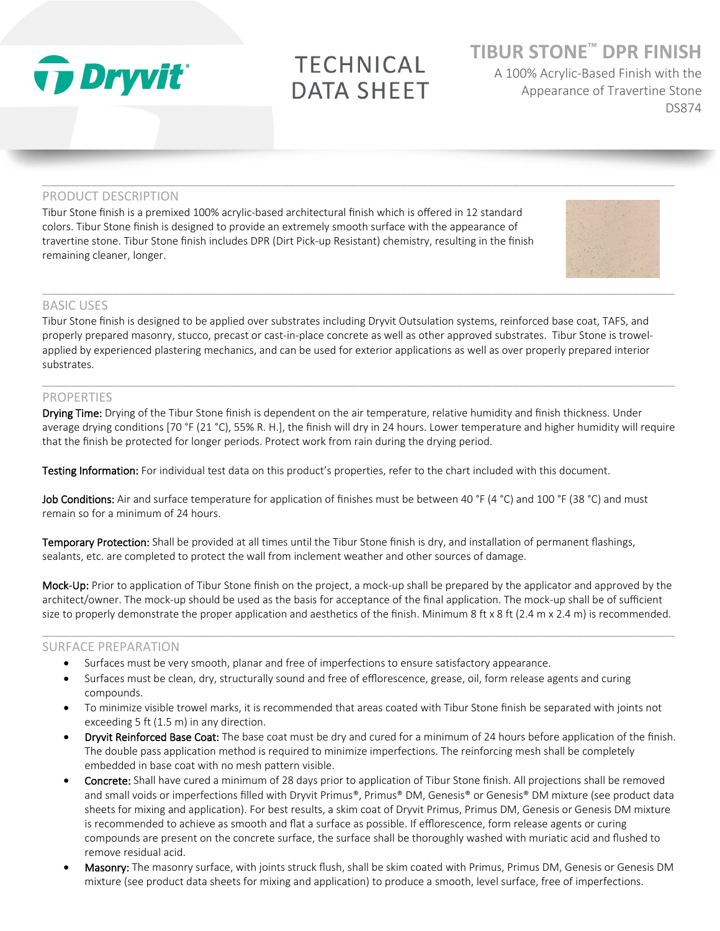

# **TECHNICAL DATA SHEET**

 $\_$  ,  $\_$  ,  $\_$  ,  $\_$  ,  $\_$  ,  $\_$  ,  $\_$  ,  $\_$  ,  $\_$  ,  $\_$  ,  $\_$  ,  $\_$  ,  $\_$  ,  $\_$  ,  $\_$  ,  $\_$  ,  $\_$  ,  $\_$  ,  $\_$  ,  $\_$  ,  $\_$  ,  $\_$  ,  $\_$  ,  $\_$  ,  $\_$  ,  $\_$  ,  $\_$  ,  $\_$  ,  $\_$  ,  $\_$  ,  $\_$  ,  $\_$  ,  $\_$  ,  $\_$  ,  $\_$  ,  $\_$  ,  $\_$  ,

# **TIBUR STONE™ DPR FINISH**

A 100% Acrylic-Based Finish with the Appearance of Travertine Stone DS874

#### PRODUCT DESCRIPTION

Tibur Stone finish is a premixed 100% acrylic-based architectural finish which is offered in 12 standard colors. Tibur Stone finish is designed to provide an extremely smooth surface with the appearance of travertine stone. Tibur Stone finish includes DPR (Dirt Pick-up Resistant) chemistry, resulting in the finish remaining cleaner, longer.



#### BASIC USES

Tibur Stone finish is designed to be applied over substrates including Dryvit Outsulation systems, reinforced base coat, TAFS, and properly prepared masonry, stucco, precast or cast-in-place concrete as well as other approved substrates. Tibur Stone is trowelapplied by experienced plastering mechanics, and can be used for exterior applications as well as over properly prepared interior substrates.

### PROPERTIES

Drying Time: Drying of the Tibur Stone finish is dependent on the air temperature, relative humidity and finish thickness. Under average drying conditions [70 °F (21 °C), 55% R. H.], the finish will dry in 24 hours. Lower temperature and higher humidity will require that the finish be protected for longer periods. Protect work from rain during the drying period.

 $\_$  ,  $\_$  ,  $\_$  ,  $\_$  ,  $\_$  ,  $\_$  ,  $\_$  ,  $\_$  ,  $\_$  ,  $\_$  ,  $\_$  ,  $\_$  ,  $\_$  ,  $\_$  ,  $\_$  ,  $\_$  ,  $\_$  ,  $\_$  ,  $\_$  ,  $\_$  ,  $\_$  ,  $\_$  ,  $\_$  ,  $\_$  ,  $\_$  ,  $\_$  ,  $\_$  ,  $\_$  ,  $\_$  ,  $\_$  ,  $\_$  ,  $\_$  ,  $\_$  ,  $\_$  ,  $\_$  ,  $\_$  ,  $\_$  ,

Testing Information: For individual test data on this product's properties, refer to the chart included with this document.

Job Conditions: Air and surface temperature for application of finishes must be between 40 °F (4 °C) and 100 °F (38 °C) and must remain so for a minimum of 24 hours.

Temporary Protection: Shall be provided at all times until the Tibur Stone finish is dry, and installation of permanent flashings, sealants, etc. are completed to protect the wall from inclement weather and other sources of damage.

Mock-Up: Prior to application of Tibur Stone finish on the project, a mock-up shall be prepared by the applicator and approved by the architect/owner. The mock-up should be used as the basis for acceptance of the final application. The mock-up shall be of sufficient size to properly demonstrate the proper application and aesthetics of the finish. Minimum 8 ft x 8 ft (2.4 m x 2.4 m) is recommended.

 $\_$  ,  $\_$  ,  $\_$  ,  $\_$  ,  $\_$  ,  $\_$  ,  $\_$  ,  $\_$  ,  $\_$  ,  $\_$  ,  $\_$  ,  $\_$  ,  $\_$  ,  $\_$  ,  $\_$  ,  $\_$  ,  $\_$  ,  $\_$  ,  $\_$  ,  $\_$  ,  $\_$  ,  $\_$  ,  $\_$  ,  $\_$  ,  $\_$  ,  $\_$  ,  $\_$  ,  $\_$  ,  $\_$  ,  $\_$  ,  $\_$  ,  $\_$  ,  $\_$  ,  $\_$  ,  $\_$  ,  $\_$  ,  $\_$  ,

#### SURFACE PREPARATION

- Surfaces must be very smooth, planar and free of imperfections to ensure satisfactory appearance.
- Surfaces must be clean, dry, structurally sound and free of efflorescence, grease, oil, form release agents and curing compounds.
- To minimize visible trowel marks, it is recommended that areas coated with Tibur Stone finish be separated with joints not exceeding 5 ft (1.5 m) in any direction.
- Dryvit Reinforced Base Coat: The base coat must be dry and cured for a minimum of 24 hours before application of the finish. The double pass application method is required to minimize imperfections. The reinforcing mesh shall be completely embedded in base coat with no mesh pattern visible.
- Concrete: Shall have cured a minimum of 28 days prior to application of Tibur Stone finish. All projections shall be removed and small voids or imperfections filled with Dryvit Primus®, Primus® DM, Genesis® or Genesis® DM mixture (see product data sheets for mixing and application). For best results, a skim coat of Dryvit Primus, Primus DM, Genesis or Genesis DM mixture is recommended to achieve as smooth and flat a surface as possible. If efflorescence, form release agents or curing compounds are present on the concrete surface, the surface shall be thoroughly washed with muriatic acid and flushed to remove residual acid.
- Masonry: The masonry surface, with joints struck flush, shall be skim coated with Primus, Primus DM, Genesis or Genesis DM mixture (see product data sheets for mixing and application) to produce a smooth, level surface, free of imperfections.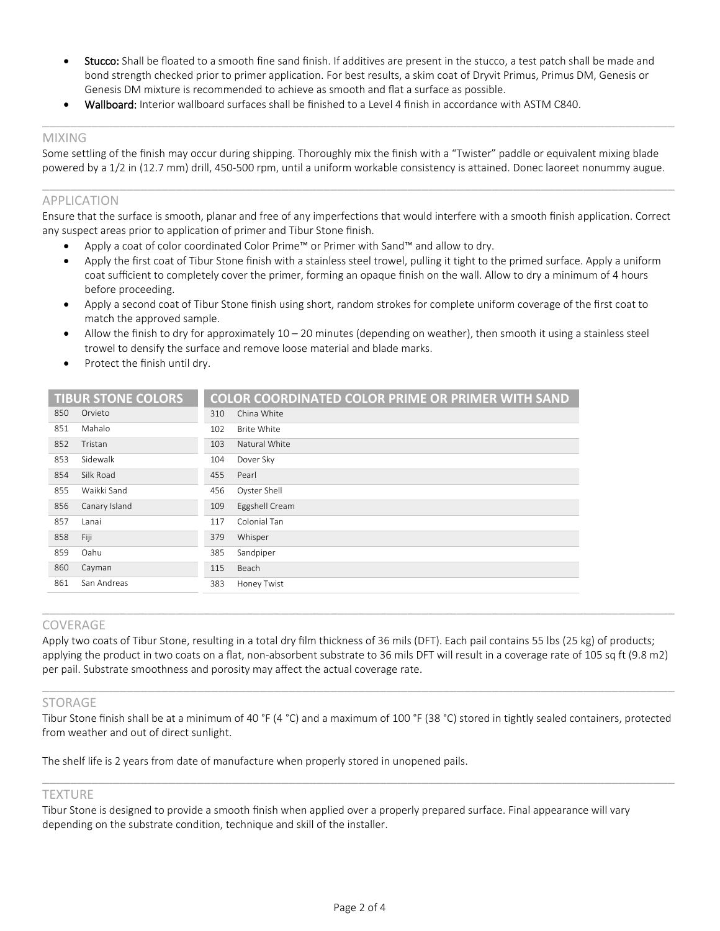Stucco: Shall be floated to a smooth fine sand finish. If additives are present in the stucco, a test patch shall be made and bond strength checked prior to primer application. For best results, a skim coat of Dryvit Primus, Primus DM, Genesis or Genesis DM mixture is recommended to achieve as smooth and flat a surface as possible.

 $\_$  ,  $\_$  ,  $\_$  ,  $\_$  ,  $\_$  ,  $\_$  ,  $\_$  ,  $\_$  ,  $\_$  ,  $\_$  ,  $\_$  ,  $\_$  ,  $\_$  ,  $\_$  ,  $\_$  ,  $\_$  ,  $\_$  ,  $\_$  ,  $\_$  ,  $\_$  ,  $\_$  ,  $\_$  ,  $\_$  ,  $\_$  ,  $\_$  ,  $\_$  ,  $\_$  ,  $\_$  ,  $\_$  ,  $\_$  ,  $\_$  ,  $\_$  ,  $\_$  ,  $\_$  ,  $\_$  ,  $\_$  ,  $\_$  ,

• Wallboard: Interior wallboard surfaces shall be finished to a Level 4 finish in accordance with ASTM C840.

#### MIXING

Some settling of the finish may occur during shipping. Thoroughly mix the finish with a "Twister" paddle or equivalent mixing blade powered by a 1/2 in (12.7 mm) drill, 450-500 rpm, until a uniform workable consistency is attained. Donec laoreet nonummy augue.

#### APPLICATION

Ensure that the surface is smooth, planar and free of any imperfections that would interfere with a smooth finish application. Correct any suspect areas prior to application of primer and Tibur Stone finish.

 $\_$  ,  $\_$  ,  $\_$  ,  $\_$  ,  $\_$  ,  $\_$  ,  $\_$  ,  $\_$  ,  $\_$  ,  $\_$  ,  $\_$  ,  $\_$  ,  $\_$  ,  $\_$  ,  $\_$  ,  $\_$  ,  $\_$  ,  $\_$  ,  $\_$  ,  $\_$  ,  $\_$  ,  $\_$  ,  $\_$  ,  $\_$  ,  $\_$  ,  $\_$  ,  $\_$  ,  $\_$  ,  $\_$  ,  $\_$  ,  $\_$  ,  $\_$  ,  $\_$  ,  $\_$  ,  $\_$  ,  $\_$  ,  $\_$  ,

- Apply a coat of color coordinated Color Prime™ or Primer with Sand™ and allow to dry.
- Apply the first coat of Tibur Stone finish with a stainless steel trowel, pulling it tight to the primed surface. Apply a uniform coat sufficient to completely cover the primer, forming an opaque finish on the wall. Allow to dry a minimum of 4 hours before proceeding.
- Apply a second coat of Tibur Stone finish using short, random strokes for complete uniform coverage of the first coat to match the approved sample.
- Allow the finish to dry for approximately  $10 20$  minutes (depending on weather), then smooth it using a stainless steel trowel to densify the surface and remove loose material and blade marks.
- Protect the finish until dry.

|               |                           | <b>COLOR COORDINATED COLOR PRIME OR PRIMER WITH SAND</b> |
|---------------|---------------------------|----------------------------------------------------------|
| Orvieto       | 310                       | China White                                              |
| Mahalo        | 102                       | Brite White                                              |
| Tristan       | 103                       | Natural White                                            |
| Sidewalk      | 104                       | Dover Sky                                                |
| Silk Road     | 455                       | Pearl                                                    |
| Waikki Sand   | 456                       | Oyster Shell                                             |
| Canary Island | 109                       | Eggshell Cream                                           |
| Lanai         | 117                       | Colonial Tan                                             |
| Fiji          | 379                       | Whisper                                                  |
| Oahu          | 385                       | Sandpiper                                                |
| Cayman        | 115                       | Beach                                                    |
| San Andreas   | 383                       | Honey Twist                                              |
|               | <b>TIBUR STONE COLORS</b> |                                                          |

#### COVERAGE

Apply two coats of Tibur Stone, resulting in a total dry film thickness of 36 mils (DFT). Each pail contains 55 lbs (25 kg) of products; applying the product in two coats on a flat, non-absorbent substrate to 36 mils DFT will result in a coverage rate of 105 sq ft (9.8 m2) per pail. Substrate smoothness and porosity may affect the actual coverage rate.

 $\_$  ,  $\_$  ,  $\_$  ,  $\_$  ,  $\_$  ,  $\_$  ,  $\_$  ,  $\_$  ,  $\_$  ,  $\_$  ,  $\_$  ,  $\_$  ,  $\_$  ,  $\_$  ,  $\_$  ,  $\_$  ,  $\_$  ,  $\_$  ,  $\_$  ,  $\_$  ,  $\_$  ,  $\_$  ,  $\_$  ,  $\_$  ,  $\_$  ,  $\_$  ,  $\_$  ,  $\_$  ,  $\_$  ,  $\_$  ,  $\_$  ,  $\_$  ,  $\_$  ,  $\_$  ,  $\_$  ,  $\_$  ,  $\_$  ,

 $\_$  ,  $\_$  ,  $\_$  ,  $\_$  ,  $\_$  ,  $\_$  ,  $\_$  ,  $\_$  ,  $\_$  ,  $\_$  ,  $\_$  ,  $\_$  ,  $\_$  ,  $\_$  ,  $\_$  ,  $\_$  ,  $\_$  ,  $\_$  ,  $\_$  ,  $\_$  ,  $\_$  ,  $\_$  ,  $\_$  ,  $\_$  ,  $\_$  ,  $\_$  ,  $\_$  ,  $\_$  ,  $\_$  ,  $\_$  ,  $\_$  ,  $\_$  ,  $\_$  ,  $\_$  ,  $\_$  ,  $\_$  ,  $\_$  ,

#### STORAGE

Tibur Stone finish shall be at a minimum of 40 °F (4 °C) and a maximum of 100 °F (38 °C) stored in tightly sealed containers, protected from weather and out of direct sunlight.

 $\_$  ,  $\_$  ,  $\_$  ,  $\_$  ,  $\_$  ,  $\_$  ,  $\_$  ,  $\_$  ,  $\_$  ,  $\_$  ,  $\_$  ,  $\_$  ,  $\_$  ,  $\_$  ,  $\_$  ,  $\_$  ,  $\_$  ,  $\_$  ,  $\_$  ,  $\_$  ,  $\_$  ,  $\_$  ,  $\_$  ,  $\_$  ,  $\_$  ,  $\_$  ,  $\_$  ,  $\_$  ,  $\_$  ,  $\_$  ,  $\_$  ,  $\_$  ,  $\_$  ,  $\_$  ,  $\_$  ,  $\_$  ,  $\_$  ,

The shelf life is 2 years from date of manufacture when properly stored in unopened pails.

#### **TEXTURE**

Tibur Stone is designed to provide a smooth finish when applied over a properly prepared surface. Final appearance will vary depending on the substrate condition, technique and skill of the installer.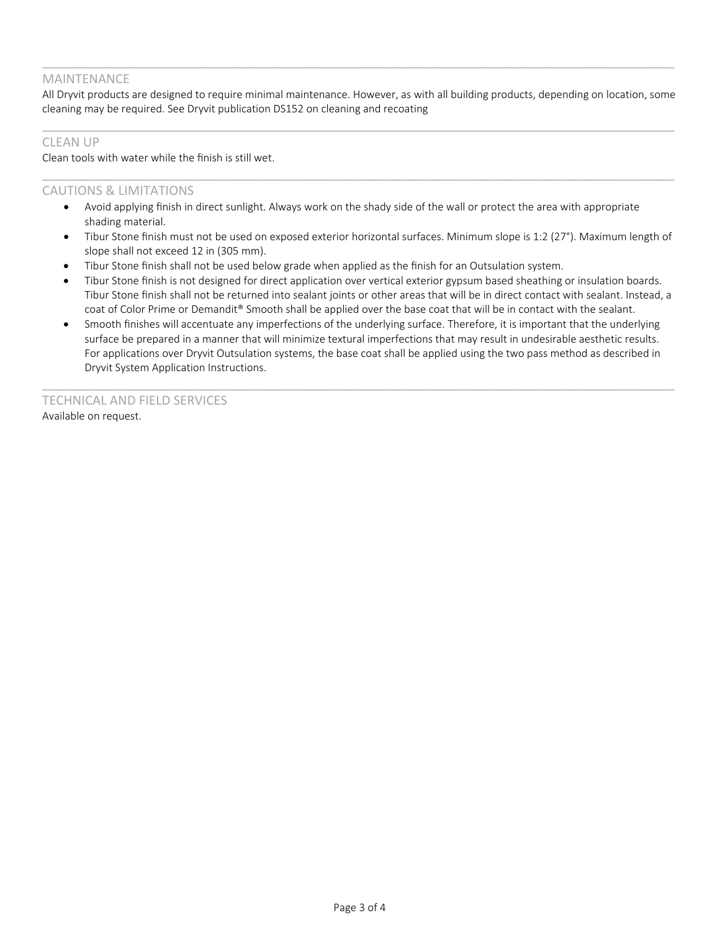#### MAINTENANCE

All Dryvit products are designed to require minimal maintenance. However, as with all building products, depending on location, some cleaning may be required. See Dryvit publication DS152 on cleaning and recoating

 $\_$  ,  $\_$  ,  $\_$  ,  $\_$  ,  $\_$  ,  $\_$  ,  $\_$  ,  $\_$  ,  $\_$  ,  $\_$  ,  $\_$  ,  $\_$  ,  $\_$  ,  $\_$  ,  $\_$  ,  $\_$  ,  $\_$  ,  $\_$  ,  $\_$  ,  $\_$  ,  $\_$  ,  $\_$  ,  $\_$  ,  $\_$  ,  $\_$  ,  $\_$  ,  $\_$  ,  $\_$  ,  $\_$  ,  $\_$  ,  $\_$  ,  $\_$  ,  $\_$  ,  $\_$  ,  $\_$  ,  $\_$  ,  $\_$  ,

 $\_$  ,  $\_$  ,  $\_$  ,  $\_$  ,  $\_$  ,  $\_$  ,  $\_$  ,  $\_$  ,  $\_$  ,  $\_$  ,  $\_$  ,  $\_$  ,  $\_$  ,  $\_$  ,  $\_$  ,  $\_$  ,  $\_$  ,  $\_$  ,  $\_$  ,  $\_$  ,  $\_$  ,  $\_$  ,  $\_$  ,  $\_$  ,  $\_$  ,  $\_$  ,  $\_$  ,  $\_$  ,  $\_$  ,  $\_$  ,  $\_$  ,  $\_$  ,  $\_$  ,  $\_$  ,  $\_$  ,  $\_$  ,  $\_$  ,

 $\_$  ,  $\_$  ,  $\_$  ,  $\_$  ,  $\_$  ,  $\_$  ,  $\_$  ,  $\_$  ,  $\_$  ,  $\_$  ,  $\_$  ,  $\_$  ,  $\_$  ,  $\_$  ,  $\_$  ,  $\_$  ,  $\_$  ,  $\_$  ,  $\_$  ,  $\_$  ,  $\_$  ,  $\_$  ,  $\_$  ,  $\_$  ,  $\_$  ,  $\_$  ,  $\_$  ,  $\_$  ,  $\_$  ,  $\_$  ,  $\_$  ,  $\_$  ,  $\_$  ,  $\_$  ,  $\_$  ,  $\_$  ,  $\_$  ,

#### CLEAN UP

Clean tools with water while the finish is still wet.

#### CAUTIONS & LIMITATIONS

- Avoid applying finish in direct sunlight. Always work on the shady side of the wall or protect the area with appropriate shading material.
- Tibur Stone finish must not be used on exposed exterior horizontal surfaces. Minimum slope is 1:2 (27°). Maximum length of slope shall not exceed 12 in (305 mm).
- Tibur Stone finish shall not be used below grade when applied as the finish for an Outsulation system.
- Tibur Stone finish is not designed for direct application over vertical exterior gypsum based sheathing or insulation boards. Tibur Stone finish shall not be returned into sealant joints or other areas that will be in direct contact with sealant. Instead, a coat of Color Prime or Demandit® Smooth shall be applied over the base coat that will be in contact with the sealant.
- Smooth finishes will accentuate any imperfections of the underlying surface. Therefore, it is important that the underlying surface be prepared in a manner that will minimize textural imperfections that may result in undesirable aesthetic results. For applications over Dryvit Outsulation systems, the base coat shall be applied using the two pass method as described in Dryvit System Application Instructions.

 $\_$  ,  $\_$  ,  $\_$  ,  $\_$  ,  $\_$  ,  $\_$  ,  $\_$  ,  $\_$  ,  $\_$  ,  $\_$  ,  $\_$  ,  $\_$  ,  $\_$  ,  $\_$  ,  $\_$  ,  $\_$  ,  $\_$  ,  $\_$  ,  $\_$  ,  $\_$  ,  $\_$  ,  $\_$  ,  $\_$  ,  $\_$  ,  $\_$  ,  $\_$  ,  $\_$  ,  $\_$  ,  $\_$  ,  $\_$  ,  $\_$  ,  $\_$  ,  $\_$  ,  $\_$  ,  $\_$  ,  $\_$  ,  $\_$  ,

TECHNICAL AND FIELD SERVICES Available on request.